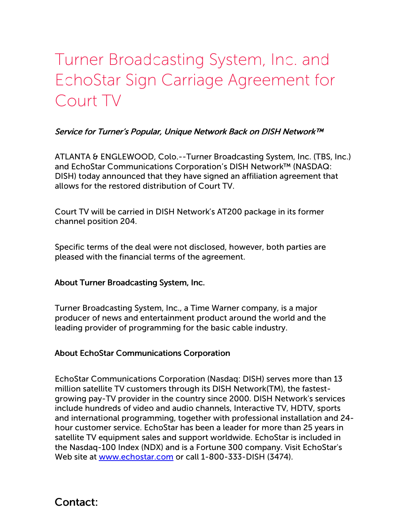## Turner Broadcasting System, Inc. and EchoStar Sign Carriage Agreement for Court TV

## Service for Turner's Popular, Unique Network Back on DISH Network™

ATLANTA & ENGLEWOOD, Colo.--Turner Broadcasting System, Inc. (TBS, Inc.) and EchoStar Communications Corporation's DISH Network™ (NASDAQ: DISH) today announced that they have signed an affiliation agreement that allows for the restored distribution of Court TV.

Court TV will be carried in DISH Network's AT200 package in its former channel position 204.

Specific terms of the deal were not disclosed, however, both parties are pleased with the financial terms of the agreement.

## About Turner Broadcasting System, Inc.

Turner Broadcasting System, Inc., a Time Warner company, is a major producer of news and entertainment product around the world and the leading provider of programming for the basic cable industry.

## About EchoStar Communications Corporation

EchoStar Communications Corporation (Nasdaq: DISH) serves more than 13 million satellite TV customers through its DISH Network(TM), the fastestgrowing pay-TV provider in the country since 2000. DISH Network's services include hundreds of video and audio channels, Interactive TV, HDTV, sports and international programming, together with professional installation and 24 hour customer service. EchoStar has been a leader for more than 25 years in satellite TV equipment sales and support worldwide. EchoStar is included in the Nasdaq-100 Index (NDX) and is a Fortune 300 company. Visit EchoStar's Web site at [www.echostar.com](http://www.echostar.com/) or call 1-800-333-DISH (3474).

Contact: